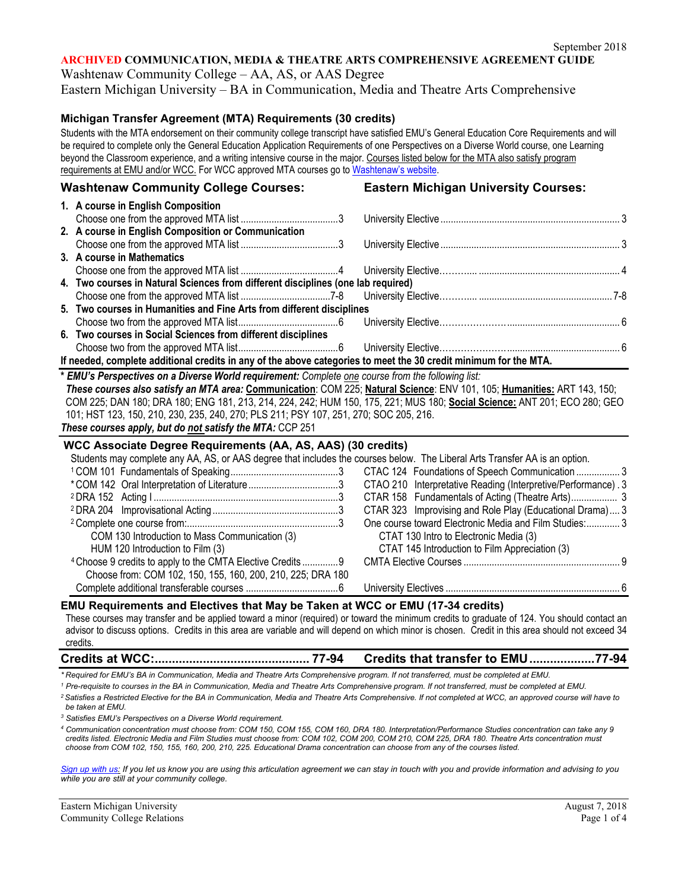# **ARCHIVED COMMUNICATION, MEDIA & THEATRE ARTS COMPREHENSIVE AGREEMENT GUIDE**

Washtenaw Community College – AA, AS, or AAS Degree

Eastern Michigan University – BA in Communication, Media and Theatre Arts Comprehensive

### **Michigan Transfer Agreement (MTA) Requirements (30 credits)**

Students with the MTA endorsement on their community college transcript have satisfied EMU's General Education Core Requirements and will be required to complete only the General Education Application Requirements of one Perspectives on a Diverse World course, one Learning beyond the Classroom experience, and a writing intensive course in the major. Courses listed below for the MTA also satisfy program requirements at EMU and/or WCC. For WCC approved MTA courses go to [Washtenaw's website.](http://www.wccnet.edu/services/transferresources/mta/)

### **Washtenaw Community College Courses: Eastern Michigan University Courses:**

|                                                                                                                          | 1. A course in English Composition                                                                                  |  |  |  |  |  |
|--------------------------------------------------------------------------------------------------------------------------|---------------------------------------------------------------------------------------------------------------------|--|--|--|--|--|
|                                                                                                                          |                                                                                                                     |  |  |  |  |  |
|                                                                                                                          | 2. A course in English Composition or Communication                                                                 |  |  |  |  |  |
|                                                                                                                          |                                                                                                                     |  |  |  |  |  |
|                                                                                                                          | 3. A course in Mathematics                                                                                          |  |  |  |  |  |
|                                                                                                                          |                                                                                                                     |  |  |  |  |  |
|                                                                                                                          | 4. Two courses in Natural Sciences from different disciplines (one lab required)                                    |  |  |  |  |  |
|                                                                                                                          |                                                                                                                     |  |  |  |  |  |
|                                                                                                                          | 5. Two courses in Humanities and Fine Arts from different disciplines                                               |  |  |  |  |  |
|                                                                                                                          |                                                                                                                     |  |  |  |  |  |
|                                                                                                                          | 6. Two courses in Social Sciences from different disciplines                                                        |  |  |  |  |  |
|                                                                                                                          |                                                                                                                     |  |  |  |  |  |
| If needed, complete additional credits in any of the above categories to meet the 30 credit minimum for the MTA.         |                                                                                                                     |  |  |  |  |  |
|                                                                                                                          | * EMU's Perspectives on a Diverse World requirement: Complete one course from the following list:                   |  |  |  |  |  |
| These courses also satisfy an MTA area: Communication: COM 225; Natural Science: ENV 101, 105; Humanities: ART 143, 150; |                                                                                                                     |  |  |  |  |  |
|                                                                                                                          | COM 225: DAN 180: DRA 180: ENG 181 213 214 224 242: HUM 150 175 221: MUS 180: Social Science: ANT 201: ECO 280: GEO |  |  |  |  |  |

COM 225; DAN 180; DRA 180; ENG 181, 213, 214, 224, 242; HUM 150, 175, 221; MUS 180; **Social Science:** ANT 201; ECO 280; GEO 101; HST 123, 150, 210, 230, 235, 240, 270; PLS 211; PSY 107, 251, 270; SOC 205, 216.

*These courses apply, but do not satisfy the MTA:* CCP 251

#### **WCC Associate Degree Requirements (AA, AS, AAS) (30 credits)**

| Students may complete any AA, AS, or AAS degree that includes the courses below. The Liberal Arts Transfer AA is an option. |                                                               |
|-----------------------------------------------------------------------------------------------------------------------------|---------------------------------------------------------------|
|                                                                                                                             |                                                               |
|                                                                                                                             |                                                               |
|                                                                                                                             | CTAO 210 Interpretative Reading (Interpretive/Performance). 3 |
|                                                                                                                             |                                                               |
|                                                                                                                             | CTAR 323 Improvising and Role Play (Educational Drama) 3      |
|                                                                                                                             | One course toward Electronic Media and Film Studies: 3        |
| COM 130 Introduction to Mass Communication (3)                                                                              | CTAT 130 Intro to Electronic Media (3)                        |
| HUM 120 Introduction to Film (3)                                                                                            | CTAT 145 Introduction to Film Appreciation (3)                |
| <sup>4</sup> Choose 9 credits to apply to the CMTA Elective Credits9                                                        |                                                               |
| Choose from: COM 102, 150, 155, 160, 200, 210, 225; DRA 180                                                                 |                                                               |
|                                                                                                                             |                                                               |

#### **EMU Requirements and Electives that May be Taken at WCC or EMU (17-34 credits)**

These courses may transfer and be applied toward a minor (required) or toward the minimum credits to graduate of 124. You should contact an advisor to discuss options. Credits in this area are variable and will depend on which minor is chosen. Credit in this area should not exceed 34 credits.

# **Credits at WCC:............................................. 77-94 Credits that transfer to EMU...................77-94**

*\* Required for EMU's BA in Communication, Media and Theatre Arts Comprehensive program. If not transferred, must be completed at EMU.* 

*<sup>1</sup> Pre-requisite to courses in the BA in Communication, Media and Theatre Arts Comprehensive program. If not transferred, must be completed at EMU.*

*<sup>2</sup> Satisfies a Restricted Elective for the BA in Communication, Media and Theatre Arts Comprehensive. If not completed at WCC, an approved course will have to be taken at EMU.*

*<sup>3</sup> Satisfies EMU's Perspectives on a Diverse World requirement.* 

*<sup>4</sup> Communication concentration must choose from: COM 150, COM 155, COM 160, DRA 180. Interpretation/Performance Studies concentration can take any 9 credits listed. Electronic Media and Film Studies must choose from: COM 102, COM 200, COM 210, COM 225, DRA 180. Theatre Arts concentration must choose from COM 102, 150, 155, 160, 200, 210, 225. Educational Drama concentration can choose from any of the courses listed.*

*[Sign up with us:](https://www.emich.edu/ccr/articulation-agreements/signup.php) If you let us know you are using this articulation agreement we can stay in touch with you and provide information and advising to you while you are still at your community college.*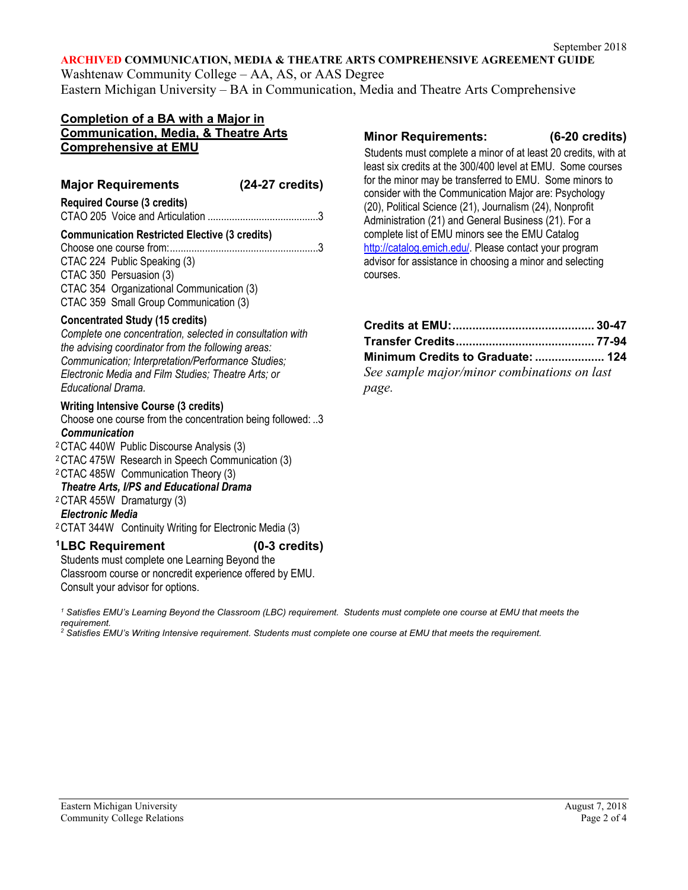#### **ARCHIVED COMMUNICATION, MEDIA & THEATRE ARTS COMPREHENSIVE AGREEMENT GUIDE**

Washtenaw Community College – AA, AS, or AAS Degree Eastern Michigan University – BA in Communication, Media and Theatre Arts Comprehensive

## **Completion of a BA with a Major in Communication, Media, & Theatre Arts Comprehensive at EMU**

# **Major Requirements (24-27 credits) Required Course (3 credits)**

CTAO 205 Voice and Articulation .........................................3

# **Communication Restricted Elective (3 credits)**

Choose one course from:.......................................................3 CTAC 224 Public Speaking (3) CTAC 350 Persuasion (3) CTAC 354 Organizational Communication (3) CTAC 359 Small Group Communication (3)

## **Concentrated Study (15 credits)**

*Complete one concentration, selected in consultation with the advising coordinator from the following areas: Communication; Interpretation/Performance Studies; Electronic Media and Film Studies; Theatre Arts; or Educational Drama.* 

## **Writing Intensive Course (3 credits)**

Choose one course from the concentration being followed: ..3 *Communication*

2CTAC 440W Public Discourse Analysis (3)

2CTAC 475W Research in Speech Communication (3)

2CTAC 485W Communication Theory (3)

## *Theatre Arts, I/PS and Educational Drama*

2CTAR 455W Dramaturgy (3)

### *Electronic Media*

2CTAT 344W Continuity Writing for Electronic Media (3)

## **1LBC Requirement (0-3 credits)**

Students must complete one Learning Beyond the Classroom course or noncredit experience offered by EMU. Consult your advisor for options.

*<sup>1</sup> Satisfies EMU's Learning Beyond the Classroom (LBC) requirement. Students must complete one course at EMU that meets the requirement.* 

*<sup>2</sup> Satisfies EMU's Writing Intensive requirement. Students must complete one course at EMU that meets the requirement.*

## **Minor Requirements: (6-20 credits)**

 Students must complete a minor of at least 20 credits, with at least six credits at the 300/400 level at EMU. Some courses for the minor may be transferred to EMU. Some minors to consider with the Communication Major are: Psychology (20), Political Science (21), Journalism (24), Nonprofit Administration (21) and General Business (21). For a complete list of EMU minors see the EMU Catalog [http://catalog.emich.edu/.](http://catalog.emich.edu/) Please contact your program advisor for assistance in choosing a minor and selecting courses.

| Minimum Credits to Graduate:  124           |  |  |
|---------------------------------------------|--|--|
| See sample major/minor combinations on last |  |  |
| page.                                       |  |  |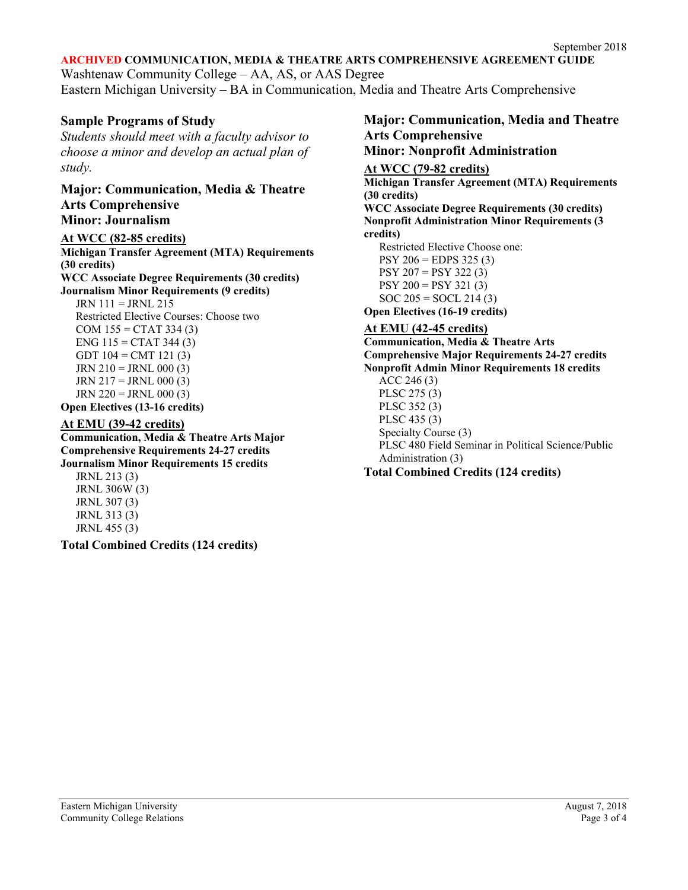## **ARCHIVED COMMUNICATION, MEDIA & THEATRE ARTS COMPREHENSIVE AGREEMENT GUIDE**

Washtenaw Community College – AA, AS, or AAS Degree Eastern Michigan University – BA in Communication, Media and Theatre Arts Comprehensive

## **Sample Programs of Study**

*Students should meet with a faculty advisor to choose a minor and develop an actual plan of study.*

**Major: Communication, Media & Theatre Arts Comprehensive Minor: Journalism** 

## **At WCC (82-85 credits)**

**Michigan Transfer Agreement (MTA) Requirements (30 credits) WCC Associate Degree Requirements (30 credits) Journalism Minor Requirements (9 credits)** JRN 111 = JRNL 215 Restricted Elective Courses: Choose two  $COM 155 = CTAT 334 (3)$ ENG  $115 = CTAT 344 (3)$ GDT  $104 = CMT 121 (3)$  $JRN 210 = JRN L 000 (3)$ JRN  $217 =$  JRNL 000 (3)  $JRN 220 = JRNL 000 (3)$ **Open Electives (13-16 credits)**

## **At EMU (39-42 credits)**

**Communication, Media & Theatre Arts Major Comprehensive Requirements 24-27 credits Journalism Minor Requirements 15 credits**

JRNL 213 (3) JRNL 306W (3) JRNL 307 (3) JRNL 313 (3) JRNL 455 (3)

**Total Combined Credits (124 credits)**

## **Major: Communication, Media and Theatre Arts Comprehensive Minor: Nonprofit Administration**

**At WCC (79-82 credits) Michigan Transfer Agreement (MTA) Requirements (30 credits) WCC Associate Degree Requirements (30 credits) Nonprofit Administration Minor Requirements (3 credits)** Restricted Elective Choose one: PSY 206 = EDPS 325 (3) PSY 207 = PSY 322 (3)  $PSY 200 = PSY 321 (3)$  $SOC 205 = SOCL 214 (3)$ **Open Electives (16-19 credits) At EMU (42-45 credits) Communication, Media & Theatre Arts Comprehensive Major Requirements 24-27 credits Nonprofit Admin Minor Requirements 18 credits** ACC 246 (3) PLSC 275 (3)

PLSC 352 (3) PLSC 435 (3) Specialty Course (3) PLSC 480 Field Seminar in Political Science/Public Administration (3)

**Total Combined Credits (124 credits)**